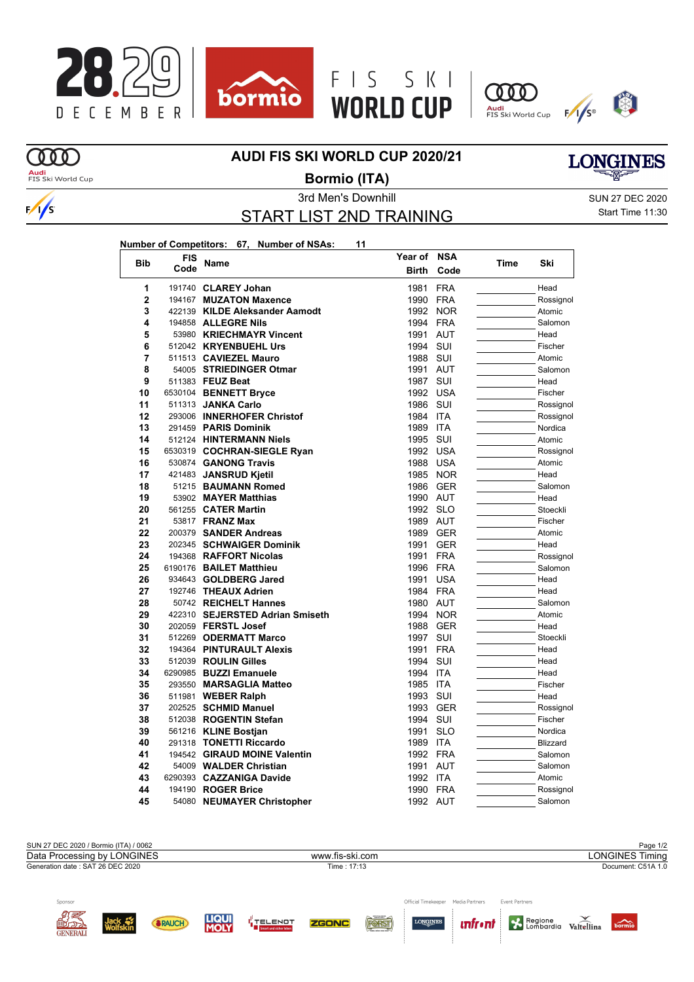



**Year of NSA**





## **AUDI FIS SKI WORLD CUP 2020/21**

 $\Omega$ <mark>Audi</mark><br>FIS Ski World Cup

 $\sqrt{s}$ 

**Bormio (ITA)**



## START LIST 2ND TRAINING

3rd Men's Downhill SUN 27 DEC 2020 Start Time 11:30

| Number of Competitors: 67, Number of NSAs: |  | 11 |
|--------------------------------------------|--|----|
|                                            |  |    |

| <b>Bib</b>     | FIS     |                                 | Year of      | NSA        | Time | Ski       |
|----------------|---------|---------------------------------|--------------|------------|------|-----------|
|                | Code    | Name                            | <b>Birth</b> | Code       |      |           |
| 1              |         | 191740 CLAREY Johan             | 1981         | <b>FRA</b> |      | Head      |
| $\overline{2}$ |         | 194167 MUZATON Maxence          | 1990         | <b>FRA</b> |      | Rossignol |
| 3              |         | 422139 KILDE Aleksander Aamodt  | 1992         | <b>NOR</b> |      | Atomic    |
| 4              |         | 194858 ALLEGRE Nils             | 1994 FRA     |            |      | Salomon   |
| 5              |         | 53980 KRIECHMAYR Vincent        | 1991         | <b>AUT</b> |      | Head      |
| 6              |         | 512042 KRYENBUEHL Urs           | 1994         | SUI        |      | Fischer   |
| 7              |         | 511513 CAVIEZEL Mauro           | 1988         | SUI        |      | Atomic    |
| 8              |         | 54005 STRIEDINGER Otmar         | 1991         | <b>AUT</b> |      | Salomon   |
| 9              |         | 511383 FEUZ Beat                | 1987         | SUI        |      | Head      |
| 10             |         | 6530104 BENNETT Bryce           | 1992 USA     |            |      | Fischer   |
| 11             |         | 511313 JANKA Carlo              | 1986 SUI     |            |      | Rossignol |
| 12             |         | 293006 INNERHOFER Christof      | 1984         | <b>ITA</b> |      | Rossignol |
| 13             |         | 291459 PARIS Dominik            | 1989         | <b>ITA</b> |      | Nordica   |
| 14             |         | 512124 HINTERMANN Niels         | 1995         | SUI        |      | Atomic    |
| 15             |         | 6530319 COCHRAN-SIEGLE Ryan     | 1992         | <b>USA</b> |      | Rossignol |
| 16             |         | 530874 GANONG Travis            | 1988 USA     |            |      | Atomic    |
| 17             |         | 421483 JANSRUD Kjetil           | 1985         | <b>NOR</b> |      | Head      |
| 18             |         | 51215 BAUMANN Romed             | 1986         | <b>GER</b> |      | Salomon   |
| 19             |         | 53902 MAYER Matthias            | 1990 AUT     |            |      | Head      |
| 20             |         | 561255 CATER Martin             | 1992 SLO     |            |      | Stoeckli  |
| 21             |         | 53817 <b>FRANZ Max</b>          | 1989 AUT     |            |      | Fischer   |
| 22             |         | 200379 SANDER Andreas           | 1989         | <b>GER</b> |      | Atomic    |
| 23             |         | 202345 SCHWAIGER Dominik        | 1991         | <b>GER</b> |      | Head      |
| 24             |         | 194368 RAFFORT Nicolas          | 1991         | <b>FRA</b> |      | Rossignol |
| 25             |         | 6190176 BAILET Matthieu         | 1996         | <b>FRA</b> |      | Salomon   |
| 26             |         | 934643 GOLDBERG Jared           | 1991         | <b>USA</b> |      | Head      |
| 27             |         | 192746 THEAUX Adrien            | 1984 FRA     |            |      | Head      |
| 28             |         | 50742 REICHELT Hannes           | 1980 AUT     |            |      | Salomon   |
| 29             |         | 422310 SEJERSTED Adrian Smiseth | 1994         | <b>NOR</b> |      | Atomic    |
| 30             |         | 202059 FERSTL Josef             | 1988         | <b>GER</b> |      | Head      |
| 31             |         | 512269 ODERMATT Marco           | 1997         | SUI        |      | Stoeckli  |
| 32             |         | 194364 PINTURAULT Alexis        | 1991         | <b>FRA</b> |      | Head      |
| 33             |         | 512039 ROULIN Gilles            | 1994         | SUI        |      | Head      |
| 34             |         | 6290985 BUZZI Emanuele          | 1994         | <b>ITA</b> |      | Head      |
| 35             |         | 293550 MARSAGLIA Matteo         | 1985         | ITA        |      | Fischer   |
| 36             |         | 511981 WEBER Ralph              | 1993 SUI     |            |      | Head      |
| 37             |         | 202525 SCHMID Manuel            | 1993         | <b>GER</b> |      | Rossignol |
| 38             |         | 512038 ROGENTIN Stefan          | 1994         | SUI        |      | Fischer   |
| 39             |         | 561216 KLINE Bostjan            | 1991         | SLO        |      | Nordica   |
| 40             |         | 291318 TONETTI Riccardo         | 1989 ITA     |            |      | Blizzard  |
| 41             |         | 194542 GIRAUD MOINE Valentin    | 1992 FRA     |            |      | Salomon   |
| 42             |         | 54009 WALDER Christian          | 1991         | <b>AUT</b> |      | Salomon   |
| 43             | 6290393 | <b>CAZZANIGA Davide</b>         | 1992         | <b>ITA</b> |      | Atomic    |
| 44             |         | 194190 ROGER Brice              | 1990         | <b>FRA</b> |      | Rossignol |
| 45             |         | 54080 NEUMAYER Christopher      | 1992 AUT     |            |      | Salomon   |